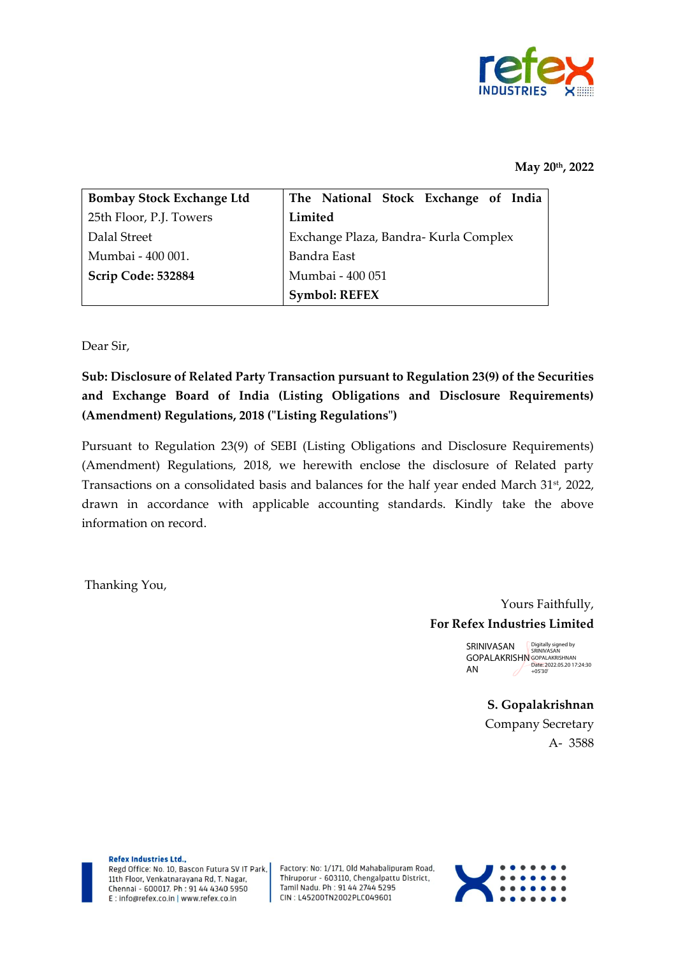

## **May 20 th, 2022**

| <b>Bombay Stock Exchange Ltd</b> | The National Stock Exchange of India  |  |  |  |  |  |  |  |  |  |  |
|----------------------------------|---------------------------------------|--|--|--|--|--|--|--|--|--|--|
| 25th Floor, P.J. Towers          | Limited                               |  |  |  |  |  |  |  |  |  |  |
| Dalal Street                     | Exchange Plaza, Bandra- Kurla Complex |  |  |  |  |  |  |  |  |  |  |
| Mumbai - 400 001.                | Bandra East                           |  |  |  |  |  |  |  |  |  |  |
| Scrip Code: 532884               | Mumbai - 400 051                      |  |  |  |  |  |  |  |  |  |  |
|                                  | <b>Symbol: REFEX</b>                  |  |  |  |  |  |  |  |  |  |  |

Dear Sir,

**Sub: Disclosure of Related Party Transaction pursuant to Regulation 23(9) of the Securities and Exchange Board of India (Listing Obligations and Disclosure Requirements) (Amendment) Regulations, 2018 ("Listing Regulations")**

Pursuant to Regulation 23(9) of SEBI (Listing Obligations and Disclosure Requirements) (Amendment) Regulations, 2018, we herewith enclose the disclosure of Related party Transactions on a consolidated basis and balances for the half year ended March 31<sup>st</sup>, 2022, drawn in accordance with applicable accounting standards. Kindly take the above information on record.

Thanking You,

Yours Faithfully, **For Refex Industries Limited**

> SRINIVASAN GOPALAKRISHN GOPALAKRISHNAN Date: 2022.05.20 17:24:30 AN Digitally signed by SRINIVASAN +05'30'

> > **S. Gopalakrishnan** Company Secretary A- 3588

Refex Industries Ltd.. Regd Office: No. 10, Bascon Futura SV IT Park. 11th Floor, Venkatnarayana Rd, T. Nagar,

E: info@refex.co.in | www.refex.co.in

Factory: No: 1/171, Old Mahabalipuram Road, Thiruporur - 603110, Chengalpattu District, Tamil Nadu. Ph : 91 44 2744 5295 Chennai - 600017. Ph : 91 44 4340 5950 CIN: L45200TN2002PLC049601